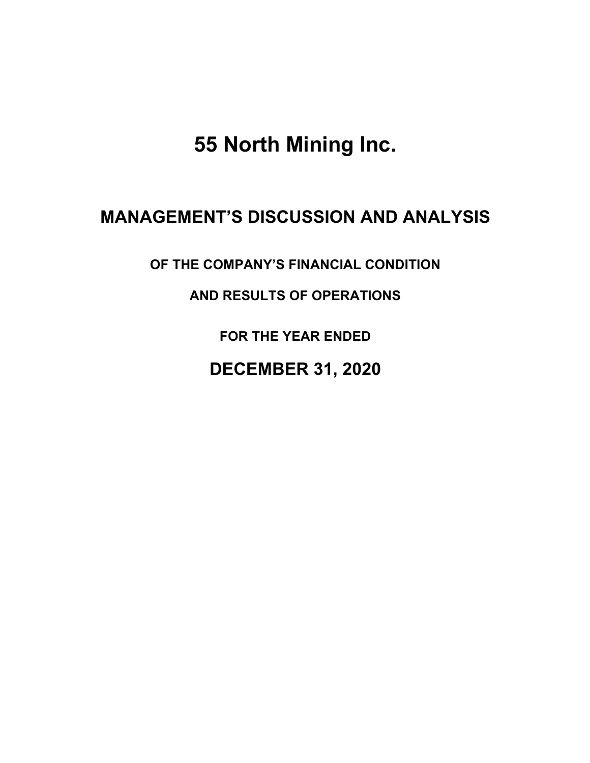**55 North Mining Inc.**

# **MANAGEMENT'S DISCUSSION AND ANALYSIS**

**OF THE COMPANY'S FINANCIAL CONDITION** 

**AND RESULTS OF OPERATIONS** 

**FOR THE YEAR ENDED**

**DECEMBER 31, 2020**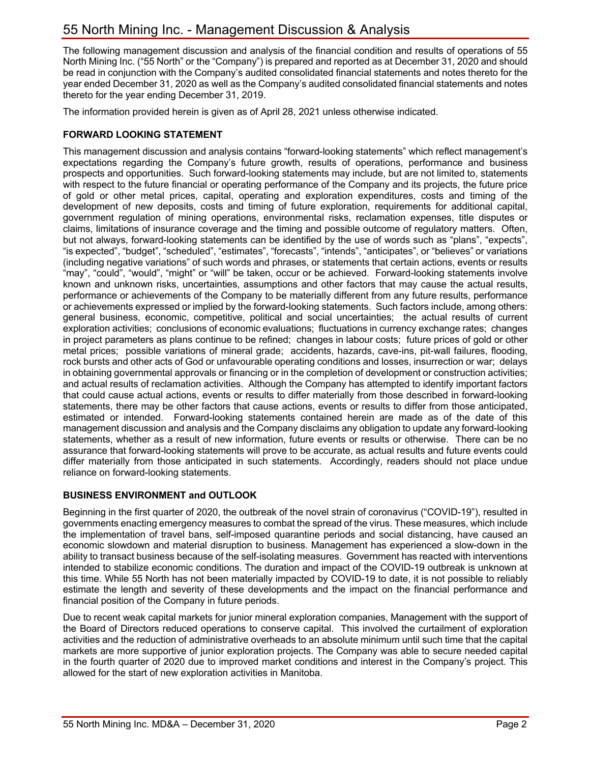The following management discussion and analysis of the financial condition and results of operations of 55 North Mining Inc. ("55 North" or the "Company") is prepared and reported as at December 31, 2020 and should be read in conjunction with the Company's audited consolidated financial statements and notes thereto for the year ended December 31, 2020 as well as the Company's audited consolidated financial statements and notes thereto for the year ending December 31, 2019.

The information provided herein is given as of April 28, 2021 unless otherwise indicated.

# **FORWARD LOOKING STATEMENT**

This management discussion and analysis contains "forward-looking statements" which reflect management's expectations regarding the Company's future growth, results of operations, performance and business prospects and opportunities. Such forward-looking statements may include, but are not limited to, statements with respect to the future financial or operating performance of the Company and its projects, the future price of gold or other metal prices, capital, operating and exploration expenditures, costs and timing of the development of new deposits, costs and timing of future exploration, requirements for additional capital, government regulation of mining operations, environmental risks, reclamation expenses, title disputes or claims, limitations of insurance coverage and the timing and possible outcome of regulatory matters. Often, but not always, forward-looking statements can be identified by the use of words such as "plans", "expects", "is expected", "budget", "scheduled", "estimates", "forecasts", "intends", "anticipates", or "believes" or variations (including negative variations" of such words and phrases, or statements that certain actions, events or results "may", "could", "would", "might" or "will" be taken, occur or be achieved. Forward-looking statements involve known and unknown risks, uncertainties, assumptions and other factors that may cause the actual results, performance or achievements of the Company to be materially different from any future results, performance or achievements expressed or implied by the forward-looking statements. Such factors include, among others: general business, economic, competitive, political and social uncertainties; the actual results of current exploration activities; conclusions of economic evaluations; fluctuations in currency exchange rates; changes in project parameters as plans continue to be refined; changes in labour costs; future prices of gold or other metal prices; possible variations of mineral grade; accidents, hazards, cave-ins, pit-wall failures, flooding, rock bursts and other acts of God or unfavourable operating conditions and losses, insurrection or war; delays in obtaining governmental approvals or financing or in the completion of development or construction activities; and actual results of reclamation activities. Although the Company has attempted to identify important factors that could cause actual actions, events or results to differ materially from those described in forward-looking statements, there may be other factors that cause actions, events or results to differ from those anticipated, estimated or intended. Forward-looking statements contained herein are made as of the date of this management discussion and analysis and the Company disclaims any obligation to update any forward-looking statements, whether as a result of new information, future events or results or otherwise. There can be no assurance that forward-looking statements will prove to be accurate, as actual results and future events could differ materially from those anticipated in such statements. Accordingly, readers should not place undue reliance on forward-looking statements.

# **BUSINESS ENVIRONMENT and OUTLOOK**

Beginning in the first quarter of 2020, the outbreak of the novel strain of coronavirus ("COVID-19"), resulted in governments enacting emergency measures to combat the spread of the virus. These measures, which include the implementation of travel bans, self-imposed quarantine periods and social distancing, have caused an economic slowdown and material disruption to business. Management has experienced a slow-down in the ability to transact business because of the self-isolating measures. Government has reacted with interventions intended to stabilize economic conditions. The duration and impact of the COVID-19 outbreak is unknown at this time. While 55 North has not been materially impacted by COVID-19 to date, it is not possible to reliably estimate the length and severity of these developments and the impact on the financial performance and financial position of the Company in future periods.

Due to recent weak capital markets for junior mineral exploration companies, Management with the support of the Board of Directors reduced operations to conserve capital. This involved the curtailment of exploration activities and the reduction of administrative overheads to an absolute minimum until such time that the capital markets are more supportive of junior exploration projects. The Company was able to secure needed capital in the fourth quarter of 2020 due to improved market conditions and interest in the Company's project. This allowed for the start of new exploration activities in Manitoba.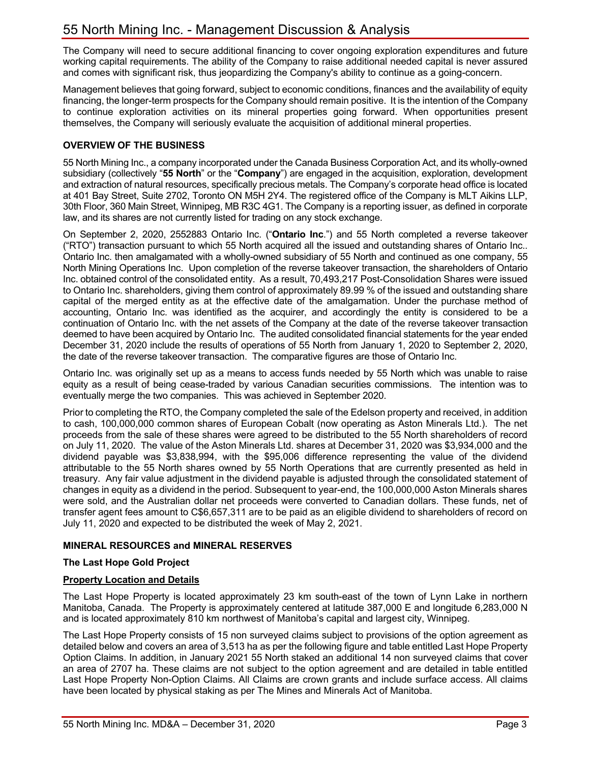The Company will need to secure additional financing to cover ongoing exploration expenditures and future working capital requirements. The ability of the Company to raise additional needed capital is never assured and comes with significant risk, thus jeopardizing the Company's ability to continue as a going-concern.

Management believes that going forward, subject to economic conditions, finances and the availability of equity financing, the longer-term prospects for the Company should remain positive. It is the intention of the Company to continue exploration activities on its mineral properties going forward. When opportunities present themselves, the Company will seriously evaluate the acquisition of additional mineral properties.

# **OVERVIEW OF THE BUSINESS**

55 North Mining Inc., a company incorporated under the Canada Business Corporation Act, and its wholly-owned subsidiary (collectively "**55 North**" or the "**Company**") are engaged in the acquisition, exploration, development and extraction of natural resources, specifically precious metals. The Company's corporate head office is located at 401 Bay Street, Suite 2702, Toronto ON M5H 2Y4. The registered office of the Company is MLT Aikins LLP, 30th Floor, 360 Main Street, Winnipeg, MB R3C 4G1. The Company is a reporting issuer, as defined in corporate law, and its shares are not currently listed for trading on any stock exchange.

On September 2, 2020, 2552883 Ontario Inc. ("**Ontario Inc**.") and 55 North completed a reverse takeover ("RTO") transaction pursuant to which 55 North acquired all the issued and outstanding shares of Ontario Inc.. Ontario Inc. then amalgamated with a wholly-owned subsidiary of 55 North and continued as one company, 55 North Mining Operations Inc. Upon completion of the reverse takeover transaction, the shareholders of Ontario Inc. obtained control of the consolidated entity. As a result, 70,493,217 Post-Consolidation Shares were issued to Ontario Inc. shareholders, giving them control of approximately 89.99 % of the issued and outstanding share capital of the merged entity as at the effective date of the amalgamation. Under the purchase method of accounting, Ontario Inc. was identified as the acquirer, and accordingly the entity is considered to be a continuation of Ontario Inc. with the net assets of the Company at the date of the reverse takeover transaction deemed to have been acquired by Ontario Inc. The audited consolidated financial statements for the year ended December 31, 2020 include the results of operations of 55 North from January 1, 2020 to September 2, 2020, the date of the reverse takeover transaction. The comparative figures are those of Ontario Inc.

Ontario Inc. was originally set up as a means to access funds needed by 55 North which was unable to raise equity as a result of being cease-traded by various Canadian securities commissions. The intention was to eventually merge the two companies. This was achieved in September 2020.

Prior to completing the RTO, the Company completed the sale of the Edelson property and received, in addition to cash, 100,000,000 common shares of European Cobalt (now operating as Aston Minerals Ltd.). The net proceeds from the sale of these shares were agreed to be distributed to the 55 North shareholders of record on July 11, 2020. The value of the Aston Minerals Ltd. shares at December 31, 2020 was \$3,934,000 and the dividend payable was \$3,838,994, with the \$95,006 difference representing the value of the dividend attributable to the 55 North shares owned by 55 North Operations that are currently presented as held in treasury. Any fair value adjustment in the dividend payable is adjusted through the consolidated statement of changes in equity as a dividend in the period. Subsequent to year-end, the 100,000,000 Aston Minerals shares were sold, and the Australian dollar net proceeds were converted to Canadian dollars. These funds, net of transfer agent fees amount to C\$6,657,311 are to be paid as an eligible dividend to shareholders of record on July 11, 2020 and expected to be distributed the week of May 2, 2021.

# **MINERAL RESOURCES and MINERAL RESERVES**

#### **The Last Hope Gold Project**

#### **Property Location and Details**

The Last Hope Property is located approximately 23 km south-east of the town of Lynn Lake in northern Manitoba, Canada. The Property is approximately centered at latitude 387,000 E and longitude 6,283,000 N and is located approximately 810 km northwest of Manitoba's capital and largest city, Winnipeg.

The Last Hope Property consists of 15 non surveyed claims subject to provisions of the option agreement as detailed below and covers an area of 3,513 ha as per the following figure and table entitled Last Hope Property Option Claims. In addition, in January 2021 55 North staked an additional 14 non surveyed claims that cover an area of 2707 ha. These claims are not subject to the option agreement and are detailed in table entitled Last Hope Property Non-Option Claims. All Claims are crown grants and include surface access. All claims have been located by physical staking as per The Mines and Minerals Act of Manitoba.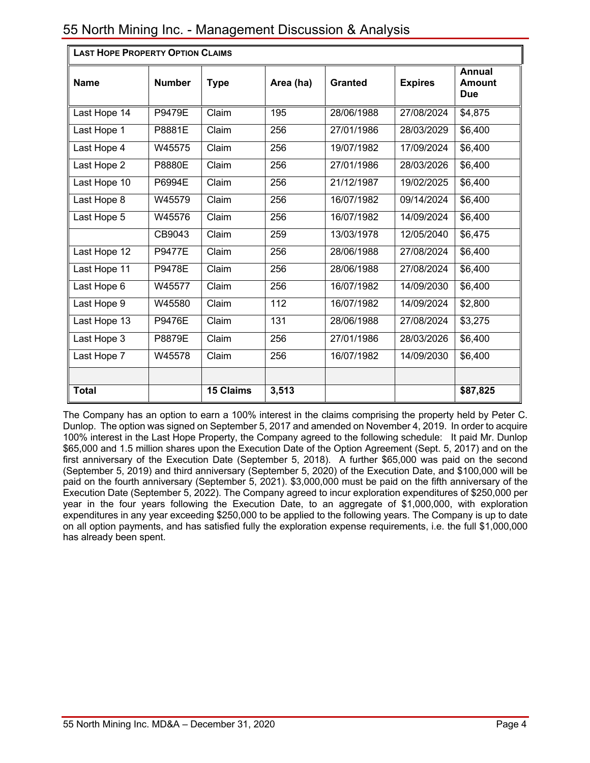| <b>LAST HOPE PROPERTY OPTION CLAIMS</b> |               |                  |                  |                |                |                                       |
|-----------------------------------------|---------------|------------------|------------------|----------------|----------------|---------------------------------------|
| <b>Name</b>                             | <b>Number</b> | <b>Type</b>      | Area (ha)        | <b>Granted</b> | <b>Expires</b> | <b>Annual</b><br>Amount<br><b>Due</b> |
| Last Hope 14                            | <b>P9479E</b> | Claim            | 195              | 28/06/1988     | 27/08/2024     | \$4,875                               |
| Last Hope 1                             | P8881E        | Claim            | 256              | 27/01/1986     | 28/03/2029     | \$6,400                               |
| Last Hope 4                             | W45575        | Claim            | 256              | 19/07/1982     | 17/09/2024     | \$6,400                               |
| Last Hope 2                             | P8880E        | Claim            | 256              | 27/01/1986     | 28/03/2026     | \$6,400                               |
| Last Hope 10                            | P6994E        | Claim            | 256              | 21/12/1987     | 19/02/2025     | \$6,400                               |
| Last Hope 8                             | W45579        | Claim            | 256              | 16/07/1982     | 09/14/2024     | \$6,400                               |
| Last Hope 5                             | W45576        | Claim            | 256              | 16/07/1982     | 14/09/2024     | \$6,400                               |
|                                         | CB9043        | Claim            | 259              | 13/03/1978     | 12/05/2040     | \$6,475                               |
| Last Hope 12                            | <b>P9477E</b> | Claim            | 256              | 28/06/1988     | 27/08/2024     | \$6,400                               |
| Last Hope 11                            | P9478E        | Claim            | 256              | 28/06/1988     | 27/08/2024     | \$6,400                               |
| Last Hope 6                             | W45577        | Claim            | 256              | 16/07/1982     | 14/09/2030     | \$6,400                               |
| Last Hope 9                             | W45580        | Claim            | 112              | 16/07/1982     | 14/09/2024     | \$2,800                               |
| Last Hope 13                            | <b>P9476E</b> | Claim            | $\overline{131}$ | 28/06/1988     | 27/08/2024     | \$3,275                               |
| Last Hope 3                             | P8879E        | Claim            | 256              | 27/01/1986     | 28/03/2026     | \$6,400                               |
| Last Hope 7                             | W45578        | Claim            | 256              | 16/07/1982     | 14/09/2030     | \$6,400                               |
|                                         |               |                  |                  |                |                |                                       |
| <b>Total</b>                            |               | <b>15 Claims</b> | 3,513            |                |                | \$87,825                              |

The Company has an option to earn a 100% interest in the claims comprising the property held by Peter C. Dunlop. The option was signed on September 5, 2017 and amended on November 4, 2019. In order to acquire 100% interest in the Last Hope Property, the Company agreed to the following schedule: It paid Mr. Dunlop \$65,000 and 1.5 million shares upon the Execution Date of the Option Agreement (Sept. 5, 2017) and on the first anniversary of the Execution Date (September 5, 2018). A further \$65,000 was paid on the second (September 5, 2019) and third anniversary (September 5, 2020) of the Execution Date, and \$100,000 will be paid on the fourth anniversary (September 5, 2021). \$3,000,000 must be paid on the fifth anniversary of the Execution Date (September 5, 2022). The Company agreed to incur exploration expenditures of \$250,000 per year in the four years following the Execution Date, to an aggregate of \$1,000,000, with exploration expenditures in any year exceeding \$250,000 to be applied to the following years. The Company is up to date on all option payments, and has satisfied fully the exploration expense requirements, i.e. the full \$1,000,000 has already been spent.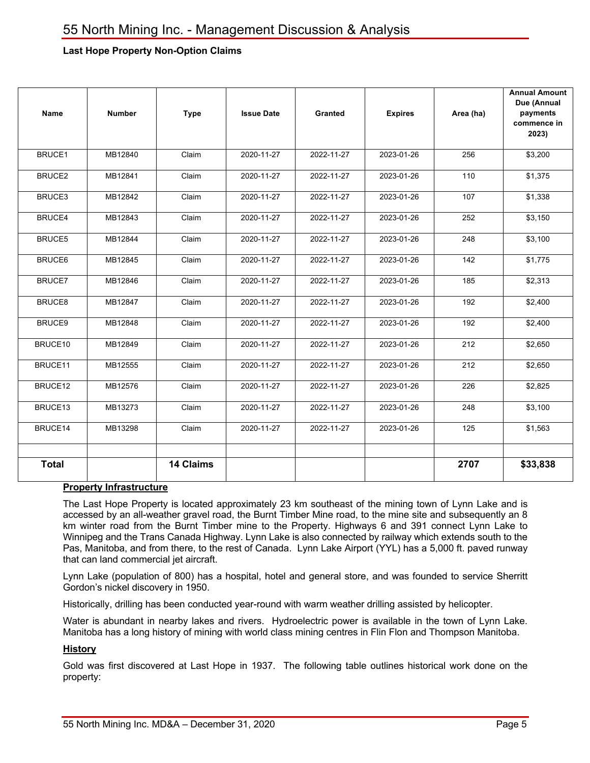# **Last Hope Property Non-Option Claims**

| Name          | <b>Number</b> | <b>Type</b>      | <b>Issue Date</b> | Granted    | <b>Expires</b> | Area (ha) | <b>Annual Amount</b><br>Due (Annual<br>payments<br>commence in<br>2023) |
|---------------|---------------|------------------|-------------------|------------|----------------|-----------|-------------------------------------------------------------------------|
| <b>BRUCE1</b> | MB12840       | Claim            | 2020-11-27        | 2022-11-27 | 2023-01-26     | 256       | \$3,200                                                                 |
| BRUCE2        | MB12841       | Claim            | 2020-11-27        | 2022-11-27 | 2023-01-26     | 110       | \$1,375                                                                 |
| BRUCE3        | MB12842       | Claim            | 2020-11-27        | 2022-11-27 | 2023-01-26     | 107       | \$1,338                                                                 |
| BRUCE4        | MB12843       | Claim            | 2020-11-27        | 2022-11-27 | 2023-01-26     | 252       | \$3,150                                                                 |
| BRUCE5        | MB12844       | Claim            | 2020-11-27        | 2022-11-27 | 2023-01-26     | 248       | \$3,100                                                                 |
| <b>BRUCE6</b> | MB12845       | Claim            | 2020-11-27        | 2022-11-27 | 2023-01-26     | 142       | \$1,775                                                                 |
| BRUCE7        | MB12846       | Claim            | 2020-11-27        | 2022-11-27 | 2023-01-26     | 185       | \$2,313                                                                 |
| BRUCE8        | MB12847       | Claim            | 2020-11-27        | 2022-11-27 | 2023-01-26     | 192       | \$2,400                                                                 |
| BRUCE9        | MB12848       | Claim            | 2020-11-27        | 2022-11-27 | 2023-01-26     | 192       | \$2,400                                                                 |
| BRUCE10       | MB12849       | Claim            | 2020-11-27        | 2022-11-27 | 2023-01-26     | 212       | \$2,650                                                                 |
| BRUCE11       | MB12555       | Claim            | 2020-11-27        | 2022-11-27 | 2023-01-26     | 212       | \$2,650                                                                 |
| BRUCE12       | MB12576       | Claim            | 2020-11-27        | 2022-11-27 | 2023-01-26     | 226       | \$2,825                                                                 |
| BRUCE13       | MB13273       | Claim            | 2020-11-27        | 2022-11-27 | 2023-01-26     | 248       | \$3,100                                                                 |
| BRUCE14       | MB13298       | Claim            | 2020-11-27        | 2022-11-27 | 2023-01-26     | 125       | \$1,563                                                                 |
|               |               |                  |                   |            |                |           |                                                                         |
| <b>Total</b>  |               | <b>14 Claims</b> |                   |            |                | 2707      | \$33,838                                                                |

#### **Property Infrastructure**

The Last Hope Property is located approximately 23 km southeast of the mining town of Lynn Lake and is accessed by an all-weather gravel road, the Burnt Timber Mine road, to the mine site and subsequently an 8 km winter road from the Burnt Timber mine to the Property. Highways 6 and 391 connect Lynn Lake to Winnipeg and the Trans Canada Highway. Lynn Lake is also connected by railway which extends south to the Pas, Manitoba, and from there, to the rest of Canada. Lynn Lake Airport (YYL) has a 5,000 ft. paved runway that can land commercial jet aircraft.

Lynn Lake (population of 800) has a hospital, hotel and general store, and was founded to service Sherritt Gordon's nickel discovery in 1950.

Historically, drilling has been conducted year-round with warm weather drilling assisted by helicopter.

Water is abundant in nearby lakes and rivers. Hydroelectric power is available in the town of Lynn Lake. Manitoba has a long history of mining with world class mining centres in Flin Flon and Thompson Manitoba.

#### **History**

Gold was first discovered at Last Hope in 1937. The following table outlines historical work done on the property: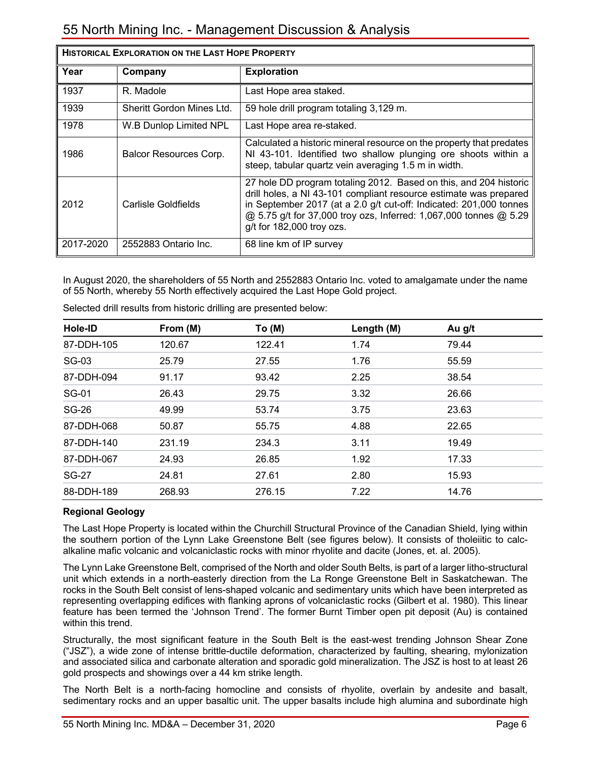| <b>HISTORICAL EXPLORATION ON THE LAST HOPE PROPERTY</b> |                           |                                                                                                                                                                                                                                                                                                                |  |  |  |
|---------------------------------------------------------|---------------------------|----------------------------------------------------------------------------------------------------------------------------------------------------------------------------------------------------------------------------------------------------------------------------------------------------------------|--|--|--|
| Year                                                    | Company                   | <b>Exploration</b>                                                                                                                                                                                                                                                                                             |  |  |  |
| 1937                                                    | R. Madole                 | Last Hope area staked.                                                                                                                                                                                                                                                                                         |  |  |  |
| 1939                                                    | Sheritt Gordon Mines Ltd. | 59 hole drill program totaling 3,129 m.                                                                                                                                                                                                                                                                        |  |  |  |
| 1978                                                    | W.B Dunlop Limited NPL    | Last Hope area re-staked.                                                                                                                                                                                                                                                                                      |  |  |  |
| 1986                                                    | Balcor Resources Corp.    | Calculated a historic mineral resource on the property that predates<br>NI 43-101. Identified two shallow plunging ore shoots within a<br>steep, tabular quartz vein averaging 1.5 m in width.                                                                                                                 |  |  |  |
| 2012                                                    | Carlisle Goldfields       | 27 hole DD program totaling 2012. Based on this, and 204 historic<br>drill holes, a NI 43-101 compliant resource estimate was prepared<br>in September 2017 (at a 2.0 g/t cut-off: Indicated: 201,000 tonnes<br>@ 5.75 g/t for 37,000 troy ozs, Inferred: 1,067,000 tonnes @ 5.29<br>g/t for 182,000 troy ozs. |  |  |  |
| 2017-2020                                               | 2552883 Ontario Inc.      | 68 line km of IP survey                                                                                                                                                                                                                                                                                        |  |  |  |

In August 2020, the shareholders of 55 North and 2552883 Ontario Inc. voted to amalgamate under the name of 55 North, whereby 55 North effectively acquired the Last Hope Gold project.

| Hole-ID      | From (M) | To (M) | Length (M) | Au g/t |  |
|--------------|----------|--------|------------|--------|--|
| 87-DDH-105   | 120.67   | 122.41 | 1.74       | 79.44  |  |
| SG-03        | 25.79    | 27.55  | 1.76       | 55.59  |  |
| 87-DDH-094   | 91.17    | 93.42  | 2.25       | 38.54  |  |
| SG-01        | 26.43    | 29.75  | 3.32       | 26.66  |  |
| <b>SG-26</b> | 49.99    | 53.74  | 3.75       | 23.63  |  |
| 87-DDH-068   | 50.87    | 55.75  | 4.88       | 22.65  |  |
| 87-DDH-140   | 231.19   | 234.3  | 3.11       | 19.49  |  |
| 87-DDH-067   | 24.93    | 26.85  | 1.92       | 17.33  |  |
| <b>SG-27</b> | 24.81    | 27.61  | 2.80       | 15.93  |  |
| 88-DDH-189   | 268.93   | 276.15 | 7.22       | 14.76  |  |

Selected drill results from historic drilling are presented below:

# **Regional Geology**

The Last Hope Property is located within the Churchill Structural Province of the Canadian Shield, lying within the southern portion of the Lynn Lake Greenstone Belt (see figures below). It consists of tholeiitic to calcalkaline mafic volcanic and volcaniclastic rocks with minor rhyolite and dacite (Jones, et. al. 2005).

The Lynn Lake Greenstone Belt, comprised of the North and older South Belts, is part of a larger litho-structural unit which extends in a north-easterly direction from the La Ronge Greenstone Belt in Saskatchewan. The rocks in the South Belt consist of lens-shaped volcanic and sedimentary units which have been interpreted as representing overlapping edifices with flanking aprons of volcaniclastic rocks (Gilbert et al. 1980). This linear feature has been termed the 'Johnson Trend'. The former Burnt Timber open pit deposit (Au) is contained within this trend.

Structurally, the most significant feature in the South Belt is the east-west trending Johnson Shear Zone ("JSZ"), a wide zone of intense brittle-ductile deformation, characterized by faulting, shearing, mylonization and associated silica and carbonate alteration and sporadic gold mineralization. The JSZ is host to at least 26 gold prospects and showings over a 44 km strike length.

The North Belt is a north-facing homocline and consists of rhyolite, overlain by andesite and basalt, sedimentary rocks and an upper basaltic unit. The upper basalts include high alumina and subordinate high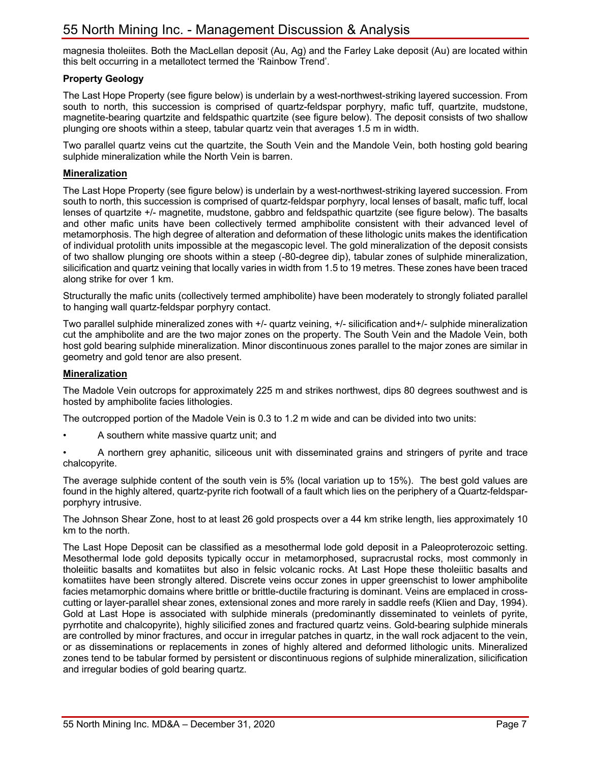magnesia tholeiites. Both the MacLellan deposit (Au, Ag) and the Farley Lake deposit (Au) are located within this belt occurring in a metallotect termed the 'Rainbow Trend'.

# **Property Geology**

The Last Hope Property (see figure below) is underlain by a west-northwest-striking layered succession. From south to north, this succession is comprised of quartz-feldspar porphyry, mafic tuff, quartzite, mudstone, magnetite-bearing quartzite and feldspathic quartzite (see figure below). The deposit consists of two shallow plunging ore shoots within a steep, tabular quartz vein that averages 1.5 m in width.

Two parallel quartz veins cut the quartzite, the South Vein and the Mandole Vein, both hosting gold bearing sulphide mineralization while the North Vein is barren.

#### **Mineralization**

The Last Hope Property (see figure below) is underlain by a west-northwest-striking layered succession. From south to north, this succession is comprised of quartz-feldspar porphyry, local lenses of basalt, mafic tuff, local lenses of quartzite +/- magnetite, mudstone, gabbro and feldspathic quartzite (see figure below). The basalts and other mafic units have been collectively termed amphibolite consistent with their advanced level of metamorphosis. The high degree of alteration and deformation of these lithologic units makes the identification of individual protolith units impossible at the megascopic level. The gold mineralization of the deposit consists of two shallow plunging ore shoots within a steep (-80-degree dip), tabular zones of sulphide mineralization, silicification and quartz veining that locally varies in width from 1.5 to 19 metres. These zones have been traced along strike for over 1 km.

Structurally the mafic units (collectively termed amphibolite) have been moderately to strongly foliated parallel to hanging wall quartz-feldspar porphyry contact.

Two parallel sulphide mineralized zones with +/- quartz veining, +/- silicification and+/- sulphide mineralization cut the amphibolite and are the two major zones on the property. The South Vein and the Madole Vein, both host gold bearing sulphide mineralization. Minor discontinuous zones parallel to the major zones are similar in geometry and gold tenor are also present.

#### **Mineralization**

The Madole Vein outcrops for approximately 225 m and strikes northwest, dips 80 degrees southwest and is hosted by amphibolite facies lithologies.

The outcropped portion of the Madole Vein is 0.3 to 1.2 m wide and can be divided into two units:

- A southern white massive quartz unit; and
- A northern grey aphanitic, siliceous unit with disseminated grains and stringers of pyrite and trace chalcopyrite.

The average sulphide content of the south vein is 5% (local variation up to 15%). The best gold values are found in the highly altered, quartz-pyrite rich footwall of a fault which lies on the periphery of a Quartz-feldsparporphyry intrusive.

The Johnson Shear Zone, host to at least 26 gold prospects over a 44 km strike length, lies approximately 10 km to the north.

The Last Hope Deposit can be classified as a mesothermal lode gold deposit in a Paleoproterozoic setting. Mesothermal lode gold deposits typically occur in metamorphosed, supracrustal rocks, most commonly in tholeiitic basalts and komatiites but also in felsic volcanic rocks. At Last Hope these tholeiitic basalts and komatiites have been strongly altered. Discrete veins occur zones in upper greenschist to lower amphibolite facies metamorphic domains where brittle or brittle-ductile fracturing is dominant. Veins are emplaced in crosscutting or layer-parallel shear zones, extensional zones and more rarely in saddle reefs (Klien and Day, 1994). Gold at Last Hope is associated with sulphide minerals (predominantly disseminated to veinlets of pyrite, pyrrhotite and chalcopyrite), highly silicified zones and fractured quartz veins. Gold-bearing sulphide minerals are controlled by minor fractures, and occur in irregular patches in quartz, in the wall rock adjacent to the vein, or as disseminations or replacements in zones of highly altered and deformed lithologic units. Mineralized zones tend to be tabular formed by persistent or discontinuous regions of sulphide mineralization, silicification and irregular bodies of gold bearing quartz.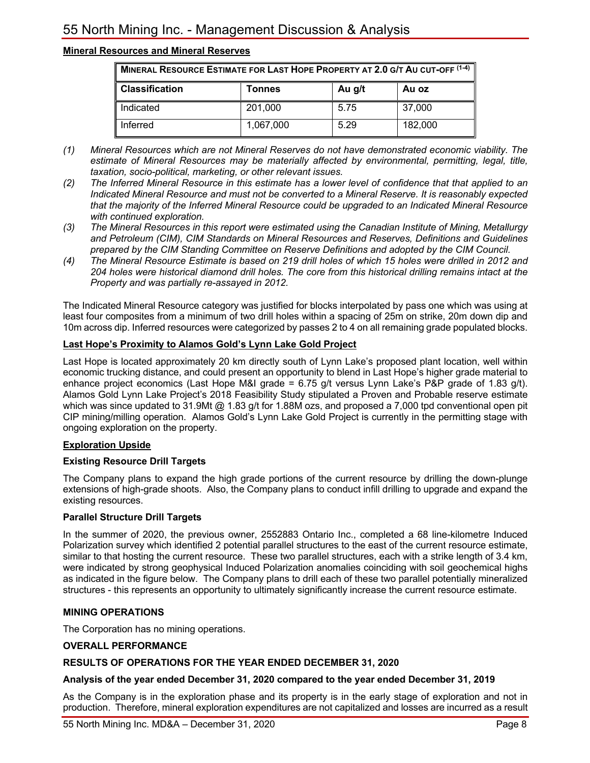# **Mineral Resources and Mineral Reserves**

| MINERAL RESOURCE ESTIMATE FOR LAST HOPE PROPERTY AT 2.0 G/T AU CUT-OFF (1-4) |           |      |         |  |  |  |  |
|------------------------------------------------------------------------------|-----------|------|---------|--|--|--|--|
| <b>Classification</b><br>Au g/t<br>Au oz<br>Tonnes                           |           |      |         |  |  |  |  |
| Indicated                                                                    | 201,000   | 5.75 | 37,000  |  |  |  |  |
| Inferred                                                                     | 1,067,000 | 5.29 | 182,000 |  |  |  |  |

- *(1) Mineral Resources which are not Mineral Reserves do not have demonstrated economic viability. The estimate of Mineral Resources may be materially affected by environmental, permitting, legal, title, taxation, socio-political, marketing, or other relevant issues.*
- *(2) The Inferred Mineral Resource in this estimate has a lower level of confidence that that applied to an Indicated Mineral Resource and must not be converted to a Mineral Reserve. It is reasonably expected that the majority of the Inferred Mineral Resource could be upgraded to an Indicated Mineral Resource with continued exploration.*
- *(3) The Mineral Resources in this report were estimated using the Canadian Institute of Mining, Metallurgy and Petroleum (CIM), CIM Standards on Mineral Resources and Reserves, Definitions and Guidelines prepared by the CIM Standing Committee on Reserve Definitions and adopted by the CIM Council.*
- *(4) The Mineral Resource Estimate is based on 219 drill holes of which 15 holes were drilled in 2012 and 204 holes were historical diamond drill holes. The core from this historical drilling remains intact at the Property and was partially re-assayed in 2012.*

The Indicated Mineral Resource category was justified for blocks interpolated by pass one which was using at least four composites from a minimum of two drill holes within a spacing of 25m on strike, 20m down dip and 10m across dip. Inferred resources were categorized by passes 2 to 4 on all remaining grade populated blocks.

### **Last Hope's Proximity to Alamos Gold's Lynn Lake Gold Project**

Last Hope is located approximately 20 km directly south of Lynn Lake's proposed plant location, well within economic trucking distance, and could present an opportunity to blend in Last Hope's higher grade material to enhance project economics (Last Hope M&I grade = 6.75 g/t versus Lynn Lake's P&P grade of 1.83 g/t). Alamos Gold Lynn Lake Project's 2018 Feasibility Study stipulated a Proven and Probable reserve estimate which was since updated to 31.9Mt @ 1.83 g/t for 1.88M ozs, and proposed a 7,000 tpd conventional open pit CIP mining/milling operation. Alamos Gold's Lynn Lake Gold Project is currently in the permitting stage with ongoing exploration on the property.

#### **Exploration Upside**

#### **Existing Resource Drill Targets**

The Company plans to expand the high grade portions of the current resource by drilling the down-plunge extensions of high-grade shoots. Also, the Company plans to conduct infill drilling to upgrade and expand the existing resources.

#### **Parallel Structure Drill Targets**

In the summer of 2020, the previous owner, 2552883 Ontario Inc., completed a 68 line-kilometre Induced Polarization survey which identified 2 potential parallel structures to the east of the current resource estimate, similar to that hosting the current resource. These two parallel structures, each with a strike length of 3.4 km, were indicated by strong geophysical Induced Polarization anomalies coinciding with soil geochemical highs as indicated in the figure below. The Company plans to drill each of these two parallel potentially mineralized structures - this represents an opportunity to ultimately significantly increase the current resource estimate.

#### **MINING OPERATIONS**

The Corporation has no mining operations.

#### **OVERALL PERFORMANCE**

#### **RESULTS OF OPERATIONS FOR THE YEAR ENDED DECEMBER 31, 2020**

#### **Analysis of the year ended December 31, 2020 compared to the year ended December 31, 2019**

As the Company is in the exploration phase and its property is in the early stage of exploration and not in production. Therefore, mineral exploration expenditures are not capitalized and losses are incurred as a result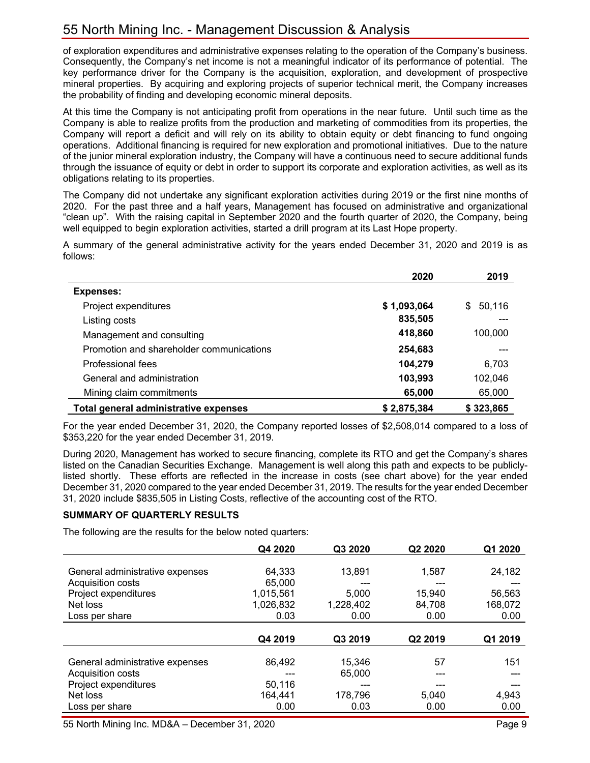of exploration expenditures and administrative expenses relating to the operation of the Company's business. Consequently, the Company's net income is not a meaningful indicator of its performance of potential. The key performance driver for the Company is the acquisition, exploration, and development of prospective mineral properties. By acquiring and exploring projects of superior technical merit, the Company increases the probability of finding and developing economic mineral deposits.

At this time the Company is not anticipating profit from operations in the near future. Until such time as the Company is able to realize profits from the production and marketing of commodities from its properties, the Company will report a deficit and will rely on its ability to obtain equity or debt financing to fund ongoing operations. Additional financing is required for new exploration and promotional initiatives. Due to the nature of the junior mineral exploration industry, the Company will have a continuous need to secure additional funds through the issuance of equity or debt in order to support its corporate and exploration activities, as well as its obligations relating to its properties.

The Company did not undertake any significant exploration activities during 2019 or the first nine months of 2020. For the past three and a half years, Management has focused on administrative and organizational "clean up". With the raising capital in September 2020 and the fourth quarter of 2020, the Company, being well equipped to begin exploration activities, started a drill program at its Last Hope property.

A summary of the general administrative activity for the years ended December 31, 2020 and 2019 is as follows:

|                                          | 2020        | 2019         |
|------------------------------------------|-------------|--------------|
| <b>Expenses:</b>                         |             |              |
| Project expenditures                     | \$1,093,064 | 50,116<br>S. |
| Listing costs                            | 835,505     |              |
| Management and consulting                | 418,860     | 100,000      |
| Promotion and shareholder communications | 254,683     |              |
| Professional fees                        | 104,279     | 6,703        |
| General and administration               | 103,993     | 102,046      |
| Mining claim commitments                 | 65,000      | 65,000       |
| Total general administrative expenses    | \$2,875,384 | \$323,865    |

For the year ended December 31, 2020, the Company reported losses of \$2,508,014 compared to a loss of \$353,220 for the year ended December 31, 2019.

During 2020, Management has worked to secure financing, complete its RTO and get the Company's shares listed on the Canadian Securities Exchange. Management is well along this path and expects to be publiclylisted shortly. These efforts are reflected in the increase in costs (see chart above) for the year ended December 31, 2020 compared to the year ended December 31, 2019. The results for the year ended December 31, 2020 include \$835,505 in Listing Costs, reflective of the accounting cost of the RTO.

#### **SUMMARY OF QUARTERLY RESULTS**

The following are the results for the below noted quarters:

|                                 | Q4 2020   | Q3 2020   | Q2 2020 | Q1 2020 |
|---------------------------------|-----------|-----------|---------|---------|
|                                 |           |           |         |         |
| General administrative expenses | 64,333    | 13,891    | 1,587   | 24,182  |
| Acquisition costs               | 65,000    |           |         |         |
| Project expenditures            | 1,015,561 | 5,000     | 15,940  | 56,563  |
| Net loss                        | 1,026,832 | 1,228,402 | 84,708  | 168,072 |
| Loss per share                  | 0.03      | 0.00      | 0.00    | 0.00    |
|                                 |           |           |         |         |
|                                 | Q4 2019   | Q3 2019   | Q2 2019 | Q1 2019 |
|                                 |           |           |         |         |
| General administrative expenses | 86,492    | 15,346    | 57      | 151     |
| Acquisition costs               |           | 65,000    |         |         |
| Project expenditures            | 50.116    | ---       |         |         |
| Net loss                        | 164,441   | 178,796   | 5,040   | 4,943   |
| Loss per share                  | 0.00      | 0.03      | 0.00    | 0.00    |

55 North Mining Inc. MD&A – December 31, 2020 Page 9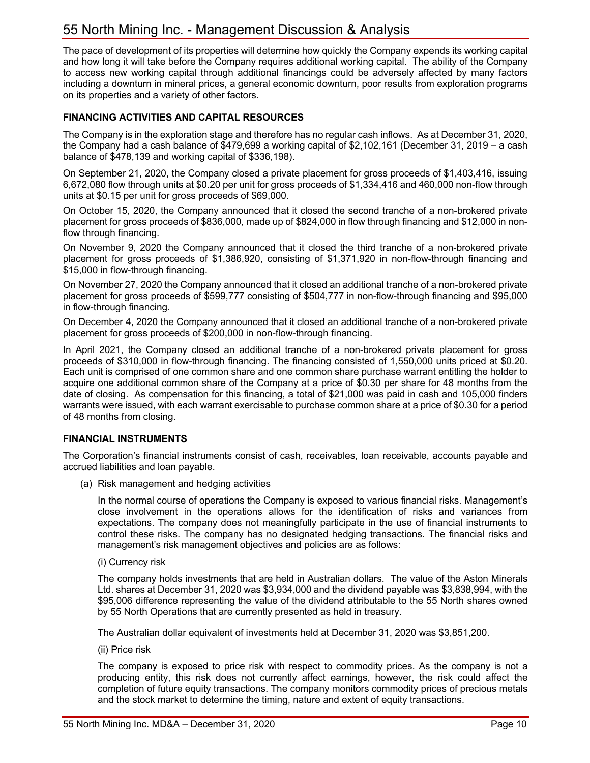The pace of development of its properties will determine how quickly the Company expends its working capital and how long it will take before the Company requires additional working capital. The ability of the Company to access new working capital through additional financings could be adversely affected by many factors including a downturn in mineral prices, a general economic downturn, poor results from exploration programs on its properties and a variety of other factors.

### **FINANCING ACTIVITIES AND CAPITAL RESOURCES**

The Company is in the exploration stage and therefore has no regular cash inflows. As at December 31, 2020, the Company had a cash balance of \$479,699 a working capital of \$2,102,161 (December 31, 2019 – a cash balance of \$478,139 and working capital of \$336,198).

On September 21, 2020, the Company closed a private placement for gross proceeds of \$1,403,416, issuing 6,672,080 flow through units at \$0.20 per unit for gross proceeds of \$1,334,416 and 460,000 non-flow through units at \$0.15 per unit for gross proceeds of \$69,000.

On October 15, 2020, the Company announced that it closed the second tranche of a non-brokered private placement for gross proceeds of \$836,000, made up of \$824,000 in flow through financing and \$12,000 in nonflow through financing.

On November 9, 2020 the Company announced that it closed the third tranche of a non-brokered private placement for gross proceeds of \$1,386,920, consisting of \$1,371,920 in non-flow-through financing and \$15,000 in flow-through financing.

On November 27, 2020 the Company announced that it closed an additional tranche of a non-brokered private placement for gross proceeds of \$599,777 consisting of \$504,777 in non-flow-through financing and \$95,000 in flow-through financing.

On December 4, 2020 the Company announced that it closed an additional tranche of a non-brokered private placement for gross proceeds of \$200,000 in non-flow-through financing.

In April 2021, the Company closed an additional tranche of a non-brokered private placement for gross proceeds of \$310,000 in flow-through financing. The financing consisted of 1,550,000 units priced at \$0.20. Each unit is comprised of one common share and one common share purchase warrant entitling the holder to acquire one additional common share of the Company at a price of \$0.30 per share for 48 months from the date of closing. As compensation for this financing, a total of \$21,000 was paid in cash and 105,000 finders warrants were issued, with each warrant exercisable to purchase common share at a price of \$0.30 for a period of 48 months from closing.

#### **FINANCIAL INSTRUMENTS**

The Corporation's financial instruments consist of cash, receivables, loan receivable, accounts payable and accrued liabilities and loan payable.

(a) Risk management and hedging activities

In the normal course of operations the Company is exposed to various financial risks. Management's close involvement in the operations allows for the identification of risks and variances from expectations. The company does not meaningfully participate in the use of financial instruments to control these risks. The company has no designated hedging transactions. The financial risks and management's risk management objectives and policies are as follows:

(i) Currency risk

The company holds investments that are held in Australian dollars. The value of the Aston Minerals Ltd. shares at December 31, 2020 was \$3,934,000 and the dividend payable was \$3,838,994, with the \$95,006 difference representing the value of the dividend attributable to the 55 North shares owned by 55 North Operations that are currently presented as held in treasury.

The Australian dollar equivalent of investments held at December 31, 2020 was \$3,851,200.

(ii) Price risk

The company is exposed to price risk with respect to commodity prices. As the company is not a producing entity, this risk does not currently affect earnings, however, the risk could affect the completion of future equity transactions. The company monitors commodity prices of precious metals and the stock market to determine the timing, nature and extent of equity transactions.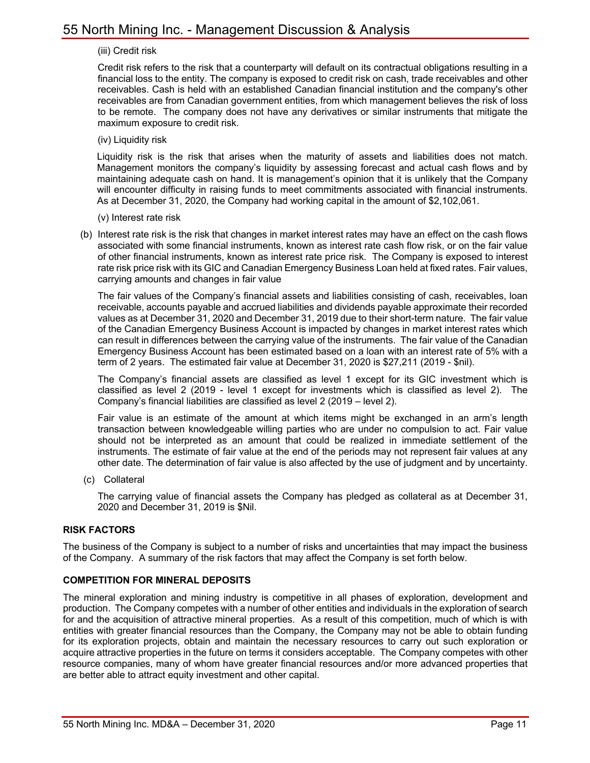#### (iii) Credit risk

Credit risk refers to the risk that a counterparty will default on its contractual obligations resulting in a financial loss to the entity. The company is exposed to credit risk on cash, trade receivables and other receivables. Cash is held with an established Canadian financial institution and the company's other receivables are from Canadian government entities, from which management believes the risk of loss to be remote. The company does not have any derivatives or similar instruments that mitigate the maximum exposure to credit risk.

(iv) Liquidity risk

Liquidity risk is the risk that arises when the maturity of assets and liabilities does not match. Management monitors the company's liquidity by assessing forecast and actual cash flows and by maintaining adequate cash on hand. It is management's opinion that it is unlikely that the Company will encounter difficulty in raising funds to meet commitments associated with financial instruments. As at December 31, 2020, the Company had working capital in the amount of \$2,102,061.

- (v) Interest rate risk
- (b) Interest rate risk is the risk that changes in market interest rates may have an effect on the cash flows associated with some financial instruments, known as interest rate cash flow risk, or on the fair value of other financial instruments, known as interest rate price risk. The Company is exposed to interest rate risk price risk with its GIC and Canadian Emergency Business Loan held at fixed rates. Fair values, carrying amounts and changes in fair value

The fair values of the Company's financial assets and liabilities consisting of cash, receivables, loan receivable, accounts payable and accrued liabilities and dividends payable approximate their recorded values as at December 31, 2020 and December 31, 2019 due to their short-term nature. The fair value of the Canadian Emergency Business Account is impacted by changes in market interest rates which can result in differences between the carrying value of the instruments. The fair value of the Canadian Emergency Business Account has been estimated based on a loan with an interest rate of 5% with a term of 2 years. The estimated fair value at December 31, 2020 is \$27,211 (2019 - \$nil).

The Company's financial assets are classified as level 1 except for its GIC investment which is classified as level 2 (2019 - level 1 except for investments which is classified as level 2). The Company's financial liabilities are classified as level 2 (2019 – level 2).

Fair value is an estimate of the amount at which items might be exchanged in an arm's length transaction between knowledgeable willing parties who are under no compulsion to act. Fair value should not be interpreted as an amount that could be realized in immediate settlement of the instruments. The estimate of fair value at the end of the periods may not represent fair values at any other date. The determination of fair value is also affected by the use of judgment and by uncertainty.

(c) Collateral

The carrying value of financial assets the Company has pledged as collateral as at December 31, 2020 and December 31, 2019 is \$Nil.

#### **RISK FACTORS**

The business of the Company is subject to a number of risks and uncertainties that may impact the business of the Company. A summary of the risk factors that may affect the Company is set forth below.

#### **COMPETITION FOR MINERAL DEPOSITS**

The mineral exploration and mining industry is competitive in all phases of exploration, development and production. The Company competes with a number of other entities and individuals in the exploration of search for and the acquisition of attractive mineral properties. As a result of this competition, much of which is with entities with greater financial resources than the Company, the Company may not be able to obtain funding for its exploration projects, obtain and maintain the necessary resources to carry out such exploration or acquire attractive properties in the future on terms it considers acceptable. The Company competes with other resource companies, many of whom have greater financial resources and/or more advanced properties that are better able to attract equity investment and other capital.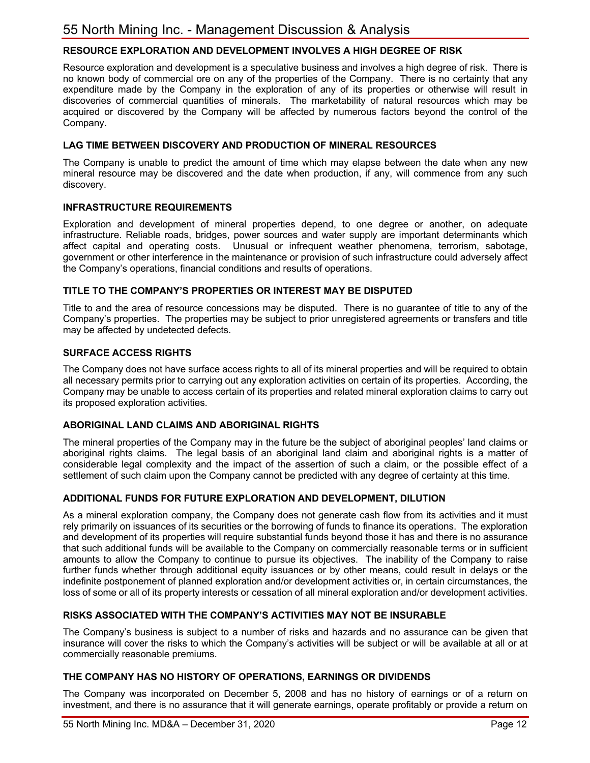# **RESOURCE EXPLORATION AND DEVELOPMENT INVOLVES A HIGH DEGREE OF RISK**

Resource exploration and development is a speculative business and involves a high degree of risk. There is no known body of commercial ore on any of the properties of the Company. There is no certainty that any expenditure made by the Company in the exploration of any of its properties or otherwise will result in discoveries of commercial quantities of minerals. The marketability of natural resources which may be acquired or discovered by the Company will be affected by numerous factors beyond the control of the Company.

#### **LAG TIME BETWEEN DISCOVERY AND PRODUCTION OF MINERAL RESOURCES**

The Company is unable to predict the amount of time which may elapse between the date when any new mineral resource may be discovered and the date when production, if any, will commence from any such discovery.

#### **INFRASTRUCTURE REQUIREMENTS**

Exploration and development of mineral properties depend, to one degree or another, on adequate infrastructure. Reliable roads, bridges, power sources and water supply are important determinants which affect capital and operating costs. Unusual or infrequent weather phenomena, terrorism, sabotage, government or other interference in the maintenance or provision of such infrastructure could adversely affect the Company's operations, financial conditions and results of operations.

#### **TITLE TO THE COMPANY'S PROPERTIES OR INTEREST MAY BE DISPUTED**

Title to and the area of resource concessions may be disputed. There is no guarantee of title to any of the Company's properties. The properties may be subject to prior unregistered agreements or transfers and title may be affected by undetected defects.

#### **SURFACE ACCESS RIGHTS**

The Company does not have surface access rights to all of its mineral properties and will be required to obtain all necessary permits prior to carrying out any exploration activities on certain of its properties. According, the Company may be unable to access certain of its properties and related mineral exploration claims to carry out its proposed exploration activities.

#### **ABORIGINAL LAND CLAIMS AND ABORIGINAL RIGHTS**

The mineral properties of the Company may in the future be the subject of aboriginal peoples' land claims or aboriginal rights claims. The legal basis of an aboriginal land claim and aboriginal rights is a matter of considerable legal complexity and the impact of the assertion of such a claim, or the possible effect of a settlement of such claim upon the Company cannot be predicted with any degree of certainty at this time.

#### **ADDITIONAL FUNDS FOR FUTURE EXPLORATION AND DEVELOPMENT, DILUTION**

As a mineral exploration company, the Company does not generate cash flow from its activities and it must rely primarily on issuances of its securities or the borrowing of funds to finance its operations. The exploration and development of its properties will require substantial funds beyond those it has and there is no assurance that such additional funds will be available to the Company on commercially reasonable terms or in sufficient amounts to allow the Company to continue to pursue its objectives. The inability of the Company to raise further funds whether through additional equity issuances or by other means, could result in delays or the indefinite postponement of planned exploration and/or development activities or, in certain circumstances, the loss of some or all of its property interests or cessation of all mineral exploration and/or development activities.

#### **RISKS ASSOCIATED WITH THE COMPANY'S ACTIVITIES MAY NOT BE INSURABLE**

The Company's business is subject to a number of risks and hazards and no assurance can be given that insurance will cover the risks to which the Company's activities will be subject or will be available at all or at commercially reasonable premiums.

#### **THE COMPANY HAS NO HISTORY OF OPERATIONS, EARNINGS OR DIVIDENDS**

The Company was incorporated on December 5, 2008 and has no history of earnings or of a return on investment, and there is no assurance that it will generate earnings, operate profitably or provide a return on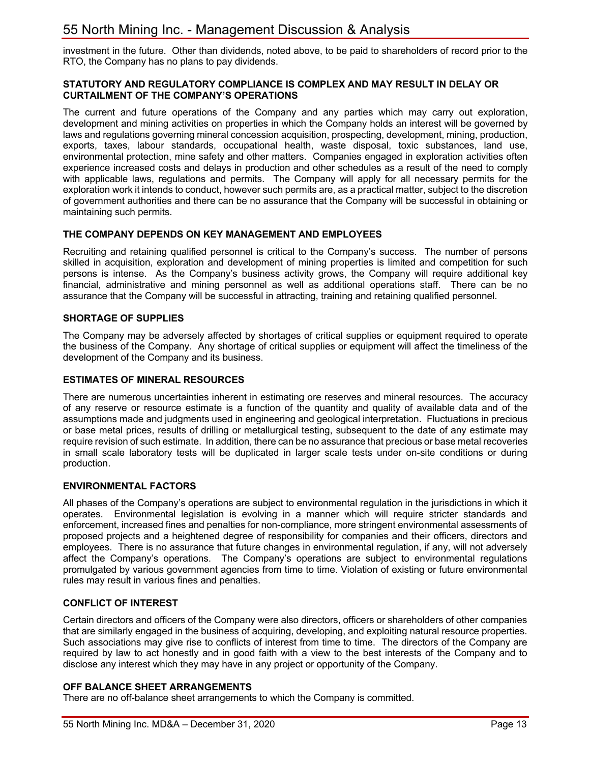investment in the future. Other than dividends, noted above, to be paid to shareholders of record prior to the RTO, the Company has no plans to pay dividends.

#### **STATUTORY AND REGULATORY COMPLIANCE IS COMPLEX AND MAY RESULT IN DELAY OR CURTAILMENT OF THE COMPANY'S OPERATIONS**

The current and future operations of the Company and any parties which may carry out exploration, development and mining activities on properties in which the Company holds an interest will be governed by laws and regulations governing mineral concession acquisition, prospecting, development, mining, production, exports, taxes, labour standards, occupational health, waste disposal, toxic substances, land use, environmental protection, mine safety and other matters. Companies engaged in exploration activities often experience increased costs and delays in production and other schedules as a result of the need to comply with applicable laws, regulations and permits. The Company will apply for all necessary permits for the exploration work it intends to conduct, however such permits are, as a practical matter, subject to the discretion of government authorities and there can be no assurance that the Company will be successful in obtaining or maintaining such permits.

### **THE COMPANY DEPENDS ON KEY MANAGEMENT AND EMPLOYEES**

Recruiting and retaining qualified personnel is critical to the Company's success. The number of persons skilled in acquisition, exploration and development of mining properties is limited and competition for such persons is intense. As the Company's business activity grows, the Company will require additional key financial, administrative and mining personnel as well as additional operations staff. There can be no assurance that the Company will be successful in attracting, training and retaining qualified personnel.

### **SHORTAGE OF SUPPLIES**

The Company may be adversely affected by shortages of critical supplies or equipment required to operate the business of the Company. Any shortage of critical supplies or equipment will affect the timeliness of the development of the Company and its business.

### **ESTIMATES OF MINERAL RESOURCES**

There are numerous uncertainties inherent in estimating ore reserves and mineral resources. The accuracy of any reserve or resource estimate is a function of the quantity and quality of available data and of the assumptions made and judgments used in engineering and geological interpretation. Fluctuations in precious or base metal prices, results of drilling or metallurgical testing, subsequent to the date of any estimate may require revision of such estimate. In addition, there can be no assurance that precious or base metal recoveries in small scale laboratory tests will be duplicated in larger scale tests under on-site conditions or during production.

#### **ENVIRONMENTAL FACTORS**

All phases of the Company's operations are subject to environmental regulation in the jurisdictions in which it operates. Environmental legislation is evolving in a manner which will require stricter standards and enforcement, increased fines and penalties for non-compliance, more stringent environmental assessments of proposed projects and a heightened degree of responsibility for companies and their officers, directors and employees. There is no assurance that future changes in environmental regulation, if any, will not adversely affect the Company's operations. The Company's operations are subject to environmental regulations promulgated by various government agencies from time to time. Violation of existing or future environmental rules may result in various fines and penalties.

#### **CONFLICT OF INTEREST**

Certain directors and officers of the Company were also directors, officers or shareholders of other companies that are similarly engaged in the business of acquiring, developing, and exploiting natural resource properties. Such associations may give rise to conflicts of interest from time to time. The directors of the Company are required by law to act honestly and in good faith with a view to the best interests of the Company and to disclose any interest which they may have in any project or opportunity of the Company.

#### **OFF BALANCE SHEET ARRANGEMENTS**

There are no off-balance sheet arrangements to which the Company is committed.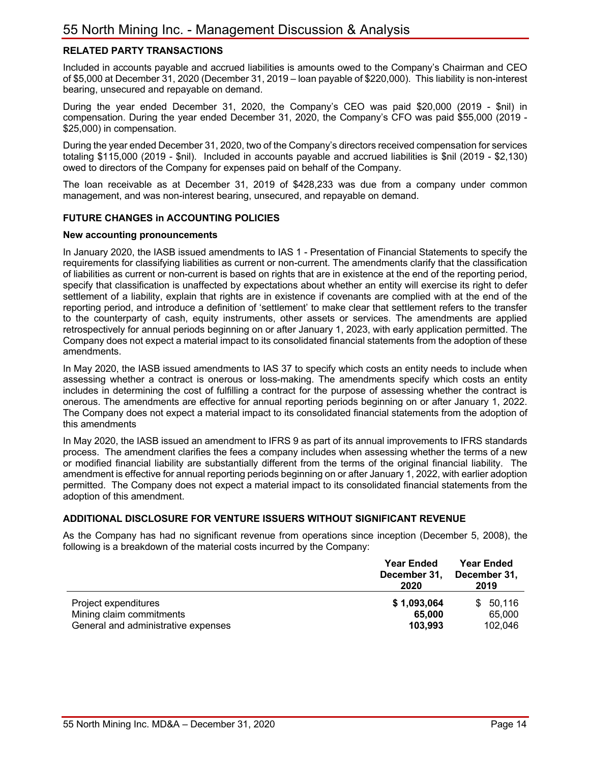# **RELATED PARTY TRANSACTIONS**

Included in accounts payable and accrued liabilities is amounts owed to the Company's Chairman and CEO of \$5,000 at December 31, 2020 (December 31, 2019 – loan payable of \$220,000). This liability is non-interest bearing, unsecured and repayable on demand.

During the year ended December 31, 2020, the Company's CEO was paid \$20,000 (2019 - \$nil) in compensation. During the year ended December 31, 2020, the Company's CFO was paid \$55,000 (2019 - \$25,000) in compensation.

During the year ended December 31, 2020, two of the Company's directors received compensation for services totaling \$115,000 (2019 - \$nil). Included in accounts payable and accrued liabilities is \$nil (2019 - \$2,130) owed to directors of the Company for expenses paid on behalf of the Company.

The loan receivable as at December 31, 2019 of \$428,233 was due from a company under common management, and was non-interest bearing, unsecured, and repayable on demand.

#### **FUTURE CHANGES in ACCOUNTING POLICIES**

#### **New accounting pronouncements**

In January 2020, the IASB issued amendments to IAS 1 - Presentation of Financial Statements to specify the requirements for classifying liabilities as current or non-current. The amendments clarify that the classification of liabilities as current or non-current is based on rights that are in existence at the end of the reporting period, specify that classification is unaffected by expectations about whether an entity will exercise its right to defer settlement of a liability, explain that rights are in existence if covenants are complied with at the end of the reporting period, and introduce a definition of 'settlement' to make clear that settlement refers to the transfer to the counterparty of cash, equity instruments, other assets or services. The amendments are applied retrospectively for annual periods beginning on or after January 1, 2023, with early application permitted. The Company does not expect a material impact to its consolidated financial statements from the adoption of these amendments.

In May 2020, the IASB issued amendments to IAS 37 to specify which costs an entity needs to include when assessing whether a contract is onerous or loss-making. The amendments specify which costs an entity includes in determining the cost of fulfilling a contract for the purpose of assessing whether the contract is onerous. The amendments are effective for annual reporting periods beginning on or after January 1, 2022. The Company does not expect a material impact to its consolidated financial statements from the adoption of this amendments

In May 2020, the IASB issued an amendment to IFRS 9 as part of its annual improvements to IFRS standards process. The amendment clarifies the fees a company includes when assessing whether the terms of a new or modified financial liability are substantially different from the terms of the original financial liability. The amendment is effective for annual reporting periods beginning on or after January 1, 2022, with earlier adoption permitted. The Company does not expect a material impact to its consolidated financial statements from the adoption of this amendment.

#### **ADDITIONAL DISCLOSURE FOR VENTURE ISSUERS WITHOUT SIGNIFICANT REVENUE**

As the Company has had no significant revenue from operations since inception (December 5, 2008), the following is a breakdown of the material costs incurred by the Company:

|                                                                                         | <b>Year Ended</b><br>December 31,<br>2020 | <b>Year Ended</b><br>December 31,<br>2019 |
|-----------------------------------------------------------------------------------------|-------------------------------------------|-------------------------------------------|
| Project expenditures<br>Mining claim commitments<br>General and administrative expenses | \$1,093,064<br>65.000<br>103,993          | 50.116<br>\$.<br>65,000<br>102.046        |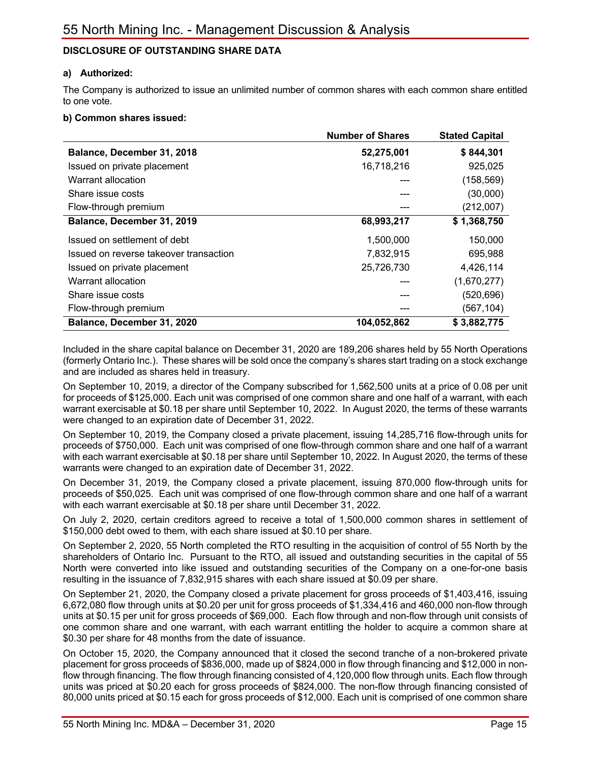# **DISCLOSURE OF OUTSTANDING SHARE DATA**

#### **a) Authorized:**

The Company is authorized to issue an unlimited number of common shares with each common share entitled to one vote.

#### **b) Common shares issued:**

|                                        | <b>Number of Shares</b> | <b>Stated Capital</b> |
|----------------------------------------|-------------------------|-----------------------|
| Balance, December 31, 2018             | 52,275,001              | \$844,301             |
| Issued on private placement            | 16,718,216              | 925,025               |
| Warrant allocation                     |                         | (158, 569)            |
| Share issue costs                      |                         | (30,000)              |
| Flow-through premium                   |                         | (212,007)             |
| Balance, December 31, 2019             | 68,993,217              | \$1,368,750           |
| Issued on settlement of debt           | 1,500,000               | 150,000               |
| Issued on reverse takeover transaction | 7,832,915               | 695,988               |
| Issued on private placement            | 25,726,730              | 4,426,114             |
| Warrant allocation                     |                         | (1,670,277)           |
| Share issue costs                      |                         | (520, 696)            |
| Flow-through premium                   |                         | (567, 104)            |
| Balance, December 31, 2020             | 104,052,862             | \$3,882,775           |

Included in the share capital balance on December 31, 2020 are 189,206 shares held by 55 North Operations (formerly Ontario Inc.). These shares will be sold once the company's shares start trading on a stock exchange and are included as shares held in treasury.

On September 10, 2019, a director of the Company subscribed for 1,562,500 units at a price of 0.08 per unit for proceeds of \$125,000. Each unit was comprised of one common share and one half of a warrant, with each warrant exercisable at \$0.18 per share until September 10, 2022. In August 2020, the terms of these warrants were changed to an expiration date of December 31, 2022.

On September 10, 2019, the Company closed a private placement, issuing 14,285,716 flow-through units for proceeds of \$750,000. Each unit was comprised of one flow-through common share and one half of a warrant with each warrant exercisable at \$0.18 per share until September 10, 2022. In August 2020, the terms of these warrants were changed to an expiration date of December 31, 2022.

On December 31, 2019, the Company closed a private placement, issuing 870,000 flow-through units for proceeds of \$50,025. Each unit was comprised of one flow-through common share and one half of a warrant with each warrant exercisable at \$0.18 per share until December 31, 2022.

On July 2, 2020, certain creditors agreed to receive a total of 1,500,000 common shares in settlement of \$150,000 debt owed to them, with each share issued at \$0.10 per share.

On September 2, 2020, 55 North completed the RTO resulting in the acquisition of control of 55 North by the shareholders of Ontario Inc. Pursuant to the RTO, all issued and outstanding securities in the capital of 55 North were converted into like issued and outstanding securities of the Company on a one-for-one basis resulting in the issuance of 7,832,915 shares with each share issued at \$0.09 per share.

On September 21, 2020, the Company closed a private placement for gross proceeds of \$1,403,416, issuing 6,672,080 flow through units at \$0.20 per unit for gross proceeds of \$1,334,416 and 460,000 non-flow through units at \$0.15 per unit for gross proceeds of \$69,000. Each flow through and non-flow through unit consists of one common share and one warrant, with each warrant entitling the holder to acquire a common share at \$0.30 per share for 48 months from the date of issuance.

On October 15, 2020, the Company announced that it closed the second tranche of a non-brokered private placement for gross proceeds of \$836,000, made up of \$824,000 in flow through financing and \$12,000 in nonflow through financing. The flow through financing consisted of 4,120,000 flow through units. Each flow through units was priced at \$0.20 each for gross proceeds of \$824,000. The non-flow through financing consisted of 80,000 units priced at \$0.15 each for gross proceeds of \$12,000. Each unit is comprised of one common share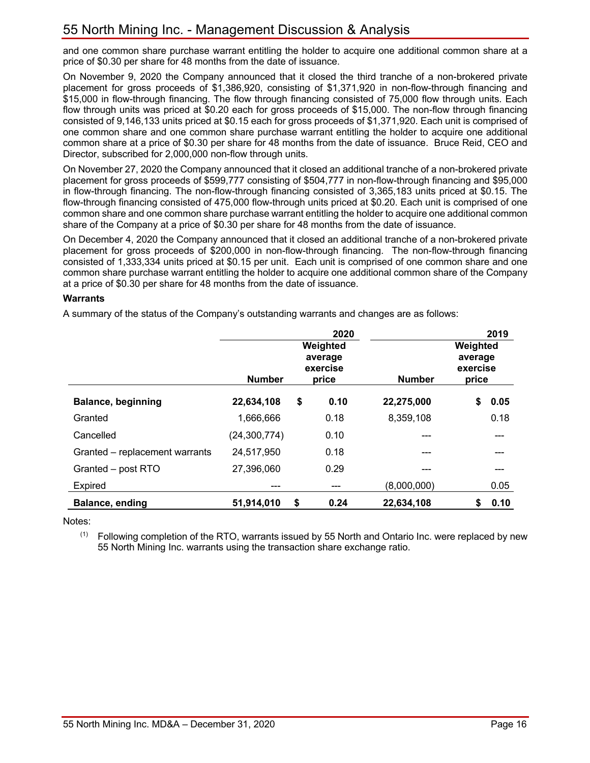and one common share purchase warrant entitling the holder to acquire one additional common share at a price of \$0.30 per share for 48 months from the date of issuance.

On November 9, 2020 the Company announced that it closed the third tranche of a non-brokered private placement for gross proceeds of \$1,386,920, consisting of \$1,371,920 in non-flow-through financing and \$15,000 in flow-through financing. The flow through financing consisted of 75,000 flow through units. Each flow through units was priced at \$0.20 each for gross proceeds of \$15,000. The non-flow through financing consisted of 9,146,133 units priced at \$0.15 each for gross proceeds of \$1,371,920. Each unit is comprised of one common share and one common share purchase warrant entitling the holder to acquire one additional common share at a price of \$0.30 per share for 48 months from the date of issuance. Bruce Reid, CEO and Director, subscribed for 2,000,000 non-flow through units.

On November 27, 2020 the Company announced that it closed an additional tranche of a non-brokered private placement for gross proceeds of \$599,777 consisting of \$504,777 in non-flow-through financing and \$95,000 in flow-through financing. The non-flow-through financing consisted of 3,365,183 units priced at \$0.15. The flow-through financing consisted of 475,000 flow-through units priced at \$0.20. Each unit is comprised of one common share and one common share purchase warrant entitling the holder to acquire one additional common share of the Company at a price of \$0.30 per share for 48 months from the date of issuance.

On December 4, 2020 the Company announced that it closed an additional tranche of a non-brokered private placement for gross proceeds of \$200,000 in non-flow-through financing. The non-flow-through financing consisted of 1,333,334 units priced at \$0.15 per unit. Each unit is comprised of one common share and one common share purchase warrant entitling the holder to acquire one additional common share of the Company at a price of \$0.30 per share for 48 months from the date of issuance.

#### **Warrants**

A summary of the status of the Company's outstanding warrants and changes are as follows:

|                                | <b>Number</b>  | 2020<br>Weighted<br>average<br>exercise<br>price | <b>Number</b> | 2019<br>Weighted<br>average<br>exercise<br>price |
|--------------------------------|----------------|--------------------------------------------------|---------------|--------------------------------------------------|
| <b>Balance, beginning</b>      | 22,634,108     | 0.10<br>\$                                       | 22,275,000    | \$<br>0.05                                       |
| Granted                        | 1,666,666      | 0.18                                             | 8,359,108     | 0.18                                             |
| Cancelled                      | (24, 300, 774) | 0.10                                             |               | ---                                              |
| Granted - replacement warrants | 24,517,950     | 0.18                                             |               |                                                  |
| Granted - post RTO             | 27,396,060     | 0.29                                             |               |                                                  |
| <b>Expired</b>                 | ---            | ---                                              | (8,000,000)   | 0.05                                             |
| <b>Balance, ending</b>         | 51,914,010     | \$<br>0.24                                       | 22,634,108    | \$<br>0.10                                       |

Notes:

 $(1)$  Following completion of the RTO, warrants issued by 55 North and Ontario Inc. were replaced by new 55 North Mining Inc. warrants using the transaction share exchange ratio.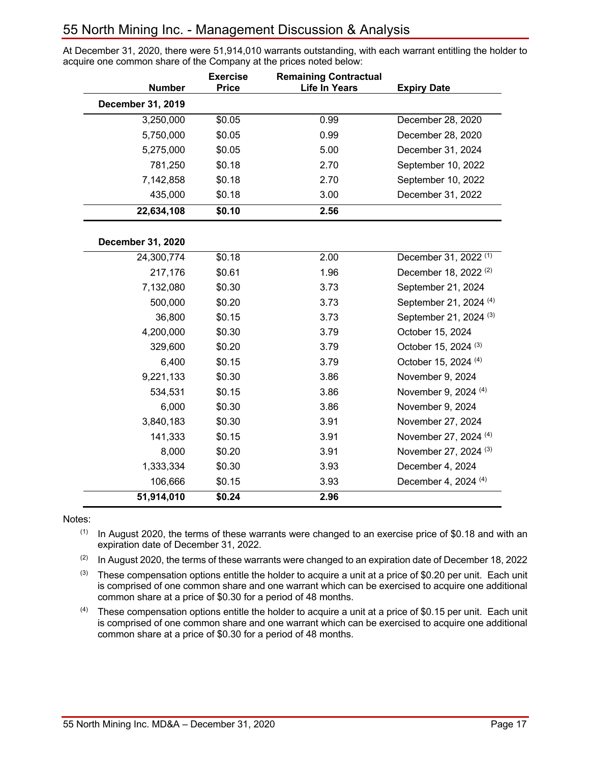At December 31, 2020, there were 51,914,010 warrants outstanding, with each warrant entitling the holder to acquire one common share of the Company at the prices noted below:

| <b>Number</b>            | <b>Exercise</b><br><b>Price</b> | <b>Remaining Contractual</b><br><b>Life In Years</b> | <b>Expiry Date</b>                |
|--------------------------|---------------------------------|------------------------------------------------------|-----------------------------------|
| December 31, 2019        |                                 |                                                      |                                   |
| 3,250,000                | \$0.05                          | 0.99                                                 | December 28, 2020                 |
| 5,750,000                | \$0.05                          | 0.99                                                 | December 28, 2020                 |
| 5,275,000                | \$0.05                          | 5.00                                                 | December 31, 2024                 |
| 781,250                  | \$0.18                          | 2.70                                                 | September 10, 2022                |
| 7,142,858                | \$0.18                          | 2.70                                                 | September 10, 2022                |
| 435,000                  | \$0.18                          | 3.00                                                 | December 31, 2022                 |
| 22,634,108               | \$0.10                          | 2.56                                                 |                                   |
| <b>December 31, 2020</b> |                                 |                                                      |                                   |
| 24,300,774               | \$0.18                          | 2.00                                                 | December 31, 2022 <sup>(1)</sup>  |
| 217,176                  | \$0.61                          | 1.96                                                 | December 18, 2022 <sup>(2)</sup>  |
| 7,132,080                | \$0.30                          | 3.73                                                 | September 21, 2024                |
| 500,000                  | \$0.20                          | 3.73                                                 | September 21, 2024 (4)            |
| 36,800                   | \$0.15                          | 3.73                                                 | September 21, 2024 <sup>(3)</sup> |
| 4,200,000                | \$0.30                          | 3.79                                                 | October 15, 2024                  |
| 329,600                  | \$0.20                          | 3.79                                                 | October 15, 2024 <sup>(3)</sup>   |
| 6,400                    | \$0.15                          | 3.79                                                 | October 15, 2024 <sup>(4)</sup>   |
| 9,221,133                | \$0.30                          | 3.86                                                 | November 9, 2024                  |
| 534,531                  | \$0.15                          | 3.86                                                 | November 9, 2024 (4)              |
| 6,000                    | \$0.30                          | 3.86                                                 | November 9, 2024                  |
| 3,840,183                | \$0.30                          | 3.91                                                 | November 27, 2024                 |
| 141,333                  | \$0.15                          | 3.91                                                 | November 27, 2024 (4)             |
| 8,000                    | \$0.20                          | 3.91                                                 | November 27, 2024 (3)             |
| 1,333,334                | \$0.30                          | 3.93                                                 | December 4, 2024                  |
| 106,666                  | \$0.15                          | 3.93                                                 | December 4, 2024 (4)              |
| 51,914,010               | \$0.24                          | 2.96                                                 |                                   |

#### Notes:

 $(1)$  In August 2020, the terms of these warrants were changed to an exercise price of \$0.18 and with an expiration date of December 31, 2022.

 $(2)$  In August 2020, the terms of these warrants were changed to an expiration date of December 18, 2022

 $(3)$  These compensation options entitle the holder to acquire a unit at a price of \$0.20 per unit. Each unit is comprised of one common share and one warrant which can be exercised to acquire one additional common share at a price of \$0.30 for a period of 48 months.

 $(4)$  These compensation options entitle the holder to acquire a unit at a price of \$0.15 per unit. Each unit is comprised of one common share and one warrant which can be exercised to acquire one additional common share at a price of \$0.30 for a period of 48 months.